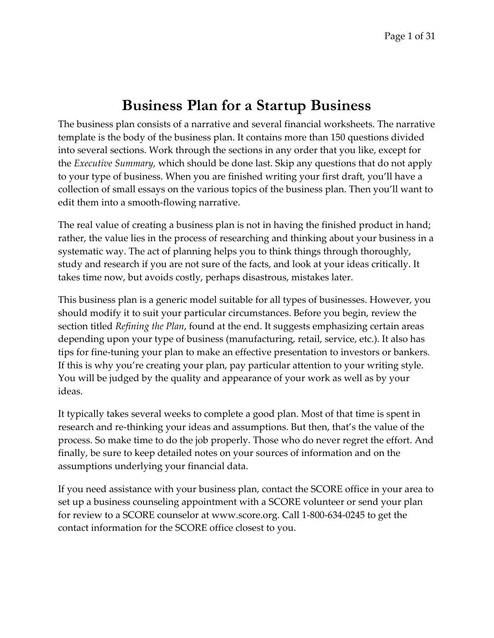# **Business Plan for a Startup Business**

The business plan consists of a narrative and several financial worksheets. The narrative template is the body of the business plan. It contains more than 150 questions divided into several sections. Work through the sections in any order that you like, except for the *Executive Summary,* which should be done last. Skip any questions that do not apply to your type of business. When you are finished writing your first draft, you'll have a collection of small essays on the various topics of the business plan. Then you'll want to edit them into a smooth‐flowing narrative.

The real value of creating a business plan is not in having the finished product in hand; rather, the value lies in the process of researching and thinking about your business in a systematic way. The act of planning helps you to think things through thoroughly, study and research if you are not sure of the facts, and look at your ideas critically. It takes time now, but avoids costly, perhaps disastrous, mistakes later.

This business plan is a generic model suitable for all types of businesses. However, you should modify it to suit your particular circumstances. Before you begin, review the section titled *Refining the Plan*, found at the end. It suggests emphasizing certain areas depending upon your type of business (manufacturing, retail, service, etc.). It also has tips for fine‐tuning your plan to make an effective presentation to investors or bankers. If this is why you're creating your plan, pay particular attention to your writing style. You will be judged by the quality and appearance of your work as well as by your ideas.

It typically takes several weeks to complete a good plan. Most of that time is spent in research and re‐thinking your ideas and assumptions. But then, that's the value of the process. So make time to do the job properly. Those who do never regret the effort. And finally, be sure to keep detailed notes on your sources of information and on the assumptions underlying your financial data.

If you need assistance with your business plan, contact the SCORE office in your area to set up a business counseling appointment with a SCORE volunteer or send your plan for review to a SCORE counselor at www.score.org. Call 1‐800‐634‐0245 to get the contact information for the SCORE office closest to you.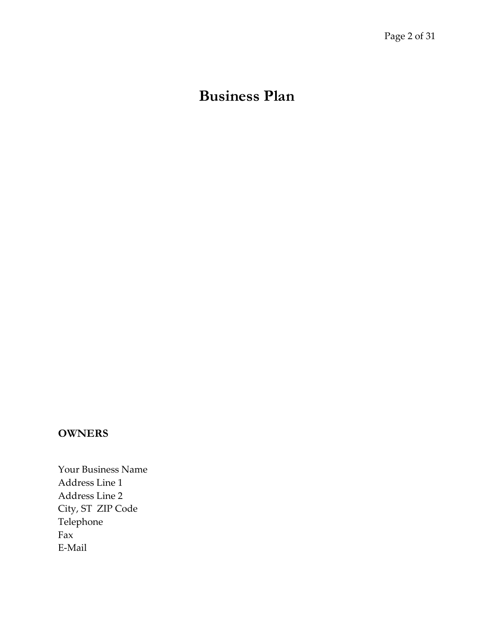# **Business Plan**

### **OWNERS**

Your Business Name Address Line 1 Address Line 2 City, ST ZIP Code Telephone Fax E‐Mail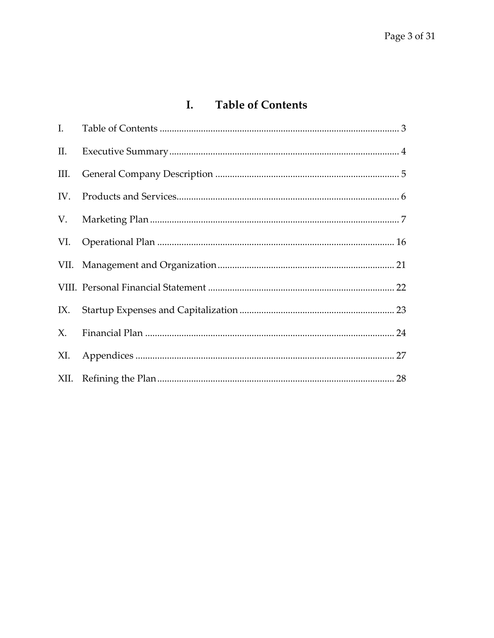#### I. **Table of Contents**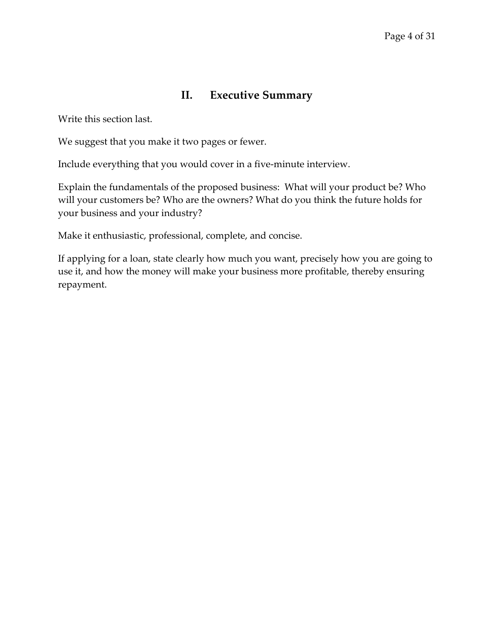### **II. Executive Summary**

Write this section last.

We suggest that you make it two pages or fewer.

Include everything that you would cover in a five‐minute interview.

Explain the fundamentals of the proposed business: What will your product be? Who will your customers be? Who are the owners? What do you think the future holds for your business and your industry?

Make it enthusiastic, professional, complete, and concise.

If applying for a loan, state clearly how much you want, precisely how you are going to use it, and how the money will make your business more profitable, thereby ensuring repayment.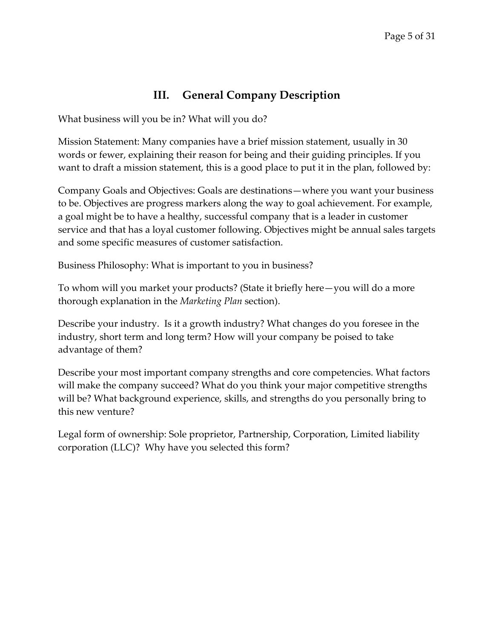## **III. General Company Description**

What business will you be in? What will you do?

Mission Statement: Many companies have a brief mission statement, usually in 30 words or fewer, explaining their reason for being and their guiding principles. If you want to draft a mission statement, this is a good place to put it in the plan, followed by:

Company Goals and Objectives: Goals are destinations—where you want your business to be. Objectives are progress markers along the way to goal achievement. For example, a goal might be to have a healthy, successful company that is a leader in customer service and that has a loyal customer following. Objectives might be annual sales targets and some specific measures of customer satisfaction.

Business Philosophy: What is important to you in business?

To whom will you market your products? (State it briefly here—you will do a more thorough explanation in the *Marketing Plan* section).

Describe your industry. Is it a growth industry? What changes do you foresee in the industry, short term and long term? How will your company be poised to take advantage of them?

Describe your most important company strengths and core competencies. What factors will make the company succeed? What do you think your major competitive strengths will be? What background experience, skills, and strengths do you personally bring to this new venture?

Legal form of ownership: Sole proprietor, Partnership, Corporation, Limited liability corporation (LLC)? Why have you selected this form?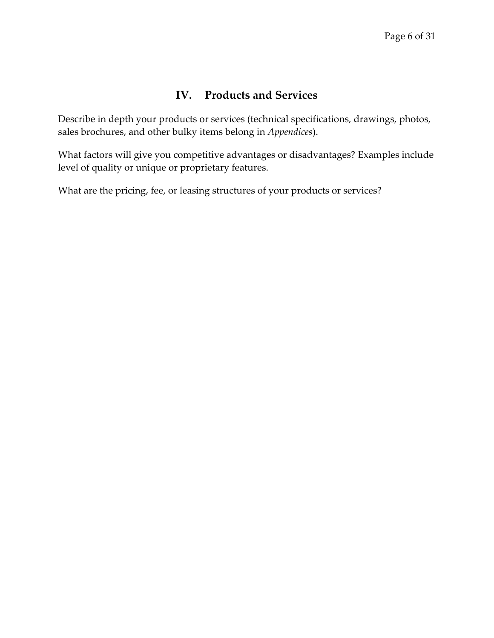## **IV. Products and Services**

Describe in depth your products or services (technical specifications, drawings, photos, sales brochures, and other bulky items belong in *Appendices*).

What factors will give you competitive advantages or disadvantages? Examples include level of quality or unique or proprietary features.

What are the pricing, fee, or leasing structures of your products or services?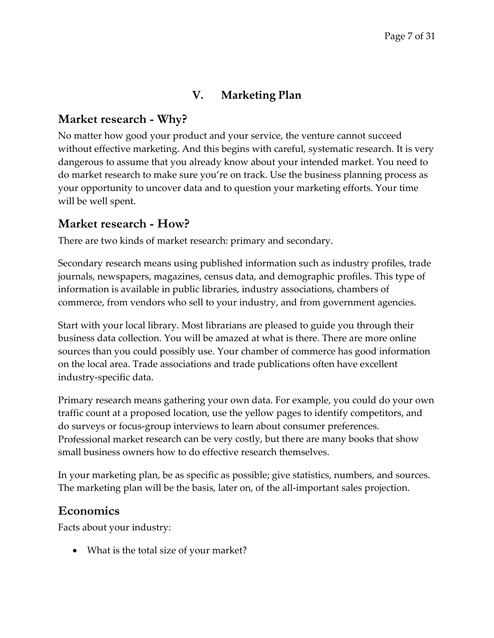## **V. Marketing Plan**

## **Market research - Why?**

No matter how good your product and your service, the venture cannot succeed without effective marketing. And this begins with careful, systematic research. It is very dangerous to assume that you already know about your intended market. You need to do market research to make sure you're on track. Use the business planning process as your opportunity to uncover data and to question your marketing efforts. Your time will be well spent.

## **Market research - How?**

There are two kinds of market research: primary and secondary.

Secondary research means using published information such as industry profiles, trade journals, newspapers, magazines, census data, and demographic profiles. This type of information is available in public libraries, industry associations, chambers of commerce, from vendors who sell to your industry, and from government agencies.

Start with your local library. Most librarians are pleased to guide you through their business data collection. You will be amazed at what is there. There are more online sources than you could possibly use. Your chamber of commerce has good information on the local area. Trade associations and trade publications often have excellent industry‐specific data.

Primary research means gathering your own data. For example, you could do your own traffic count at a proposed location, use the yellow pages to identify competitors, and do surveys or focus‐group interviews to learn about consumer preferences. Professional market research can be very costly, but there are many books that show small business owners how to do effective research themselves.

In your marketing plan, be as specific as possible; give statistics, numbers, and sources. The marketing plan will be the basis, later on, of the all-important sales projection.

## **Economics**

Facts about your industry:

• What is the total size of your market?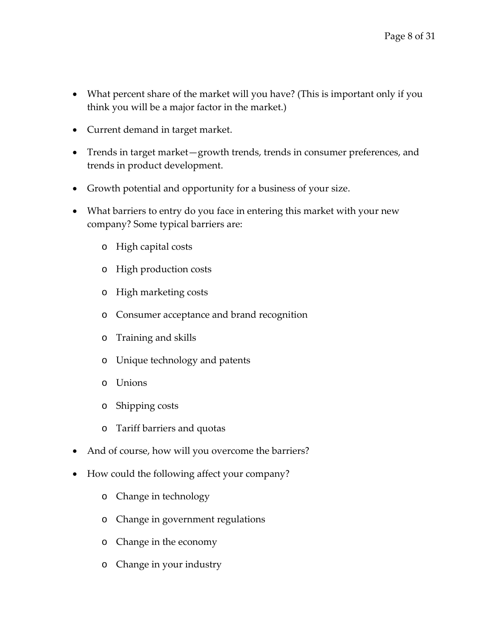- What percent share of the market will you have? (This is important only if you think you will be a major factor in the market.)
- Current demand in target market.
- Trends in target market—growth trends, trends in consumer preferences, and trends in product development.
- Growth potential and opportunity for a business of your size.
- What barriers to entry do you face in entering this market with your new company? Some typical barriers are:
	- o High capital costs
	- o High production costs
	- o High marketing costs
	- o Consumer acceptance and brand recognition
	- o Training and skills
	- o Unique technology and patents
	- o Unions
	- o Shipping costs
	- o Tariff barriers and quotas
- And of course, how will you overcome the barriers?
- How could the following affect your company?
	- o Change in technology
	- o Change in government regulations
	- o Change in the economy
	- o Change in your industry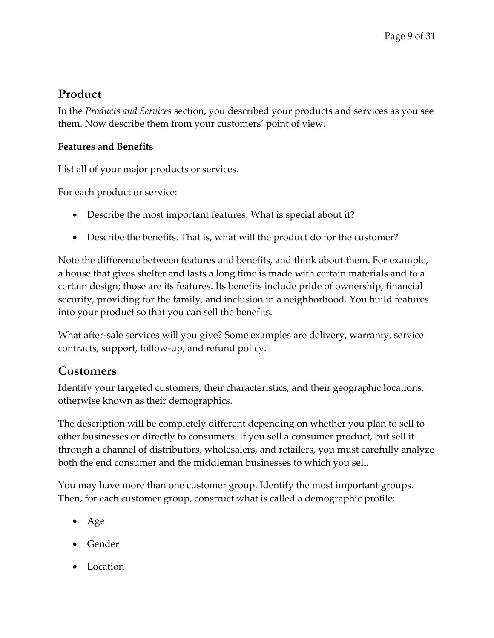## **Product**

In the *Products and Services* section, you described your products and services as you see them. Now describe them from your customers' point of view.

### **Features and Benefits**

List all of your major products or services.

For each product or service:

- Describe the most important features. What is special about it?
- Describe the benefits. That is, what will the product do for the customer?

Note the difference between features and benefits, and think about them. For example, a house that gives shelter and lasts a long time is made with certain materials and to a certain design; those are its features. Its benefits include pride of ownership, financial security, providing for the family, and inclusion in a neighborhood. You build features into your product so that you can sell the benefits.

What after-sale services will you give? Some examples are delivery, warranty, service contracts, support, follow‐up, and refund policy.

## **Customers**

Identify your targeted customers, their characteristics, and their geographic locations, otherwise known as their demographics.

The description will be completely different depending on whether you plan to sell to other businesses or directly to consumers. If you sell a consumer product, but sell it through a channel of distributors, wholesalers, and retailers, you must carefully analyze both the end consumer and the middleman businesses to which you sell.

You may have more than one customer group. Identify the most important groups. Then, for each customer group, construct what is called a demographic profile:

- Age
- Gender
- Location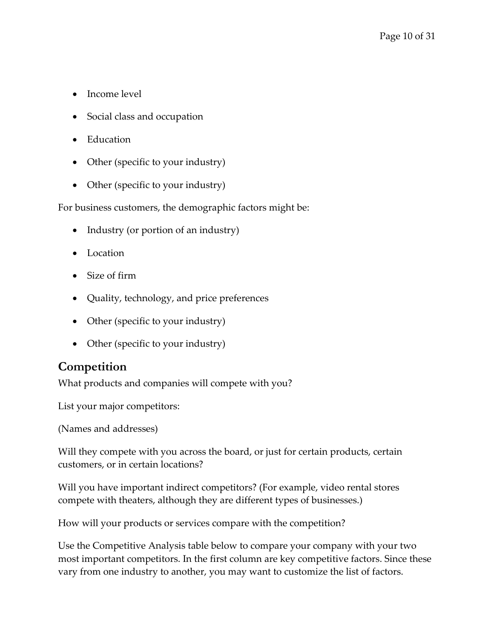- Income level
- Social class and occupation
- Education
- Other (specific to your industry)
- Other (specific to your industry)

For business customers, the demographic factors might be:

- Industry (or portion of an industry)
- Location
- Size of firm
- Quality, technology, and price preferences
- Other (specific to your industry)
- Other (specific to your industry)

## **Competition**

What products and companies will compete with you?

List your major competitors:

(Names and addresses)

Will they compete with you across the board, or just for certain products, certain customers, or in certain locations?

Will you have important indirect competitors? (For example, video rental stores compete with theaters, although they are different types of businesses.)

How will your products or services compare with the competition?

Use the Competitive Analysis table below to compare your company with your two most important competitors. In the first column are key competitive factors. Since these vary from one industry to another, you may want to customize the list of factors.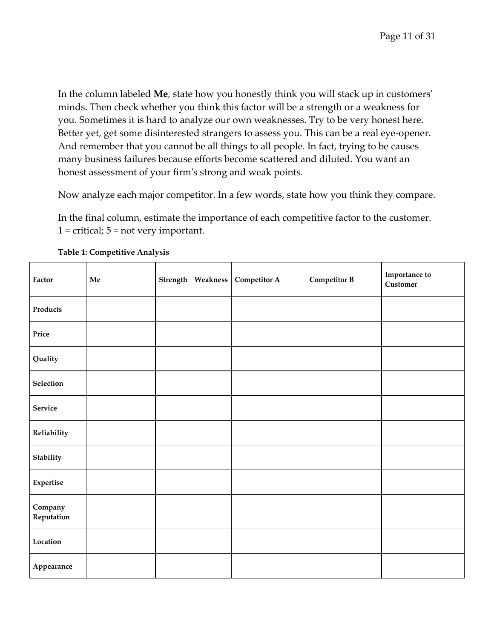In the column labeled **Me**, state how you honestly think you will stack up in customersʹ minds. Then check whether you think this factor will be a strength or a weakness for you. Sometimes it is hard to analyze our own weaknesses. Try to be very honest here. Better yet, get some disinterested strangers to assess you. This can be a real eye-opener. And remember that you cannot be all things to all people. In fact, trying to be causes many business failures because efforts become scattered and diluted. You want an honest assessment of your firmʹs strong and weak points.

Now analyze each major competitor. In a few words, state how you think they compare.

In the final column, estimate the importance of each competitive factor to the customer.  $1 =$  critical;  $5 =$  not very important.

| Factor                | Me | Strength | Weakness | Competitor A | Competitor B | Importance to<br><b>Customer</b> |
|-----------------------|----|----------|----------|--------------|--------------|----------------------------------|
| Products              |    |          |          |              |              |                                  |
| Price                 |    |          |          |              |              |                                  |
| Quality               |    |          |          |              |              |                                  |
| $\sf Selection$       |    |          |          |              |              |                                  |
| Service               |    |          |          |              |              |                                  |
| Reliability           |    |          |          |              |              |                                  |
| Stability             |    |          |          |              |              |                                  |
| Expertise             |    |          |          |              |              |                                  |
| Company<br>Reputation |    |          |          |              |              |                                  |
| Location              |    |          |          |              |              |                                  |
| Appearance            |    |          |          |              |              |                                  |

**Table 1: Competitive Analysis**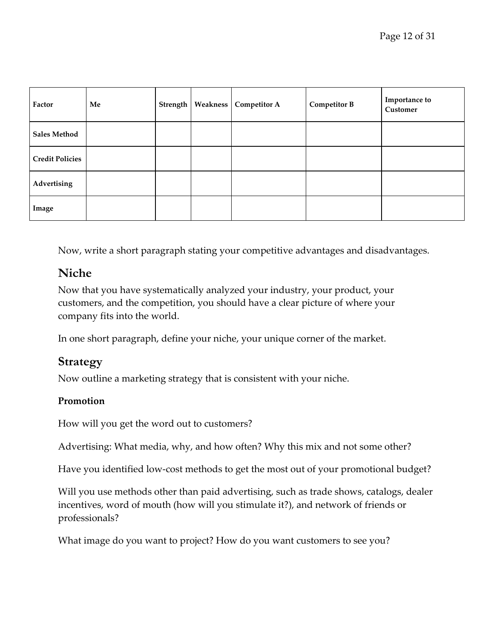| Factor                 | Me | <b>Strength</b> | Weakness | <b>Competitor A</b> | <b>Competitor B</b> | <b>Importance to</b><br>Customer |
|------------------------|----|-----------------|----------|---------------------|---------------------|----------------------------------|
| <b>Sales Method</b>    |    |                 |          |                     |                     |                                  |
| <b>Credit Policies</b> |    |                 |          |                     |                     |                                  |
| Advertising            |    |                 |          |                     |                     |                                  |
| Image                  |    |                 |          |                     |                     |                                  |

Now, write a short paragraph stating your competitive advantages and disadvantages.

## **Niche**

Now that you have systematically analyzed your industry, your product, your customers, and the competition, you should have a clear picture of where your company fits into the world.

In one short paragraph, define your niche, your unique corner of the market.

## **Strategy**

Now outline a marketing strategy that is consistent with your niche.

### **Promotion**

How will you get the word out to customers?

Advertising: What media, why, and how often? Why this mix and not some other?

Have you identified low-cost methods to get the most out of your promotional budget?

Will you use methods other than paid advertising, such as trade shows, catalogs, dealer incentives, word of mouth (how will you stimulate it?), and network of friends or professionals?

What image do you want to project? How do you want customers to see you?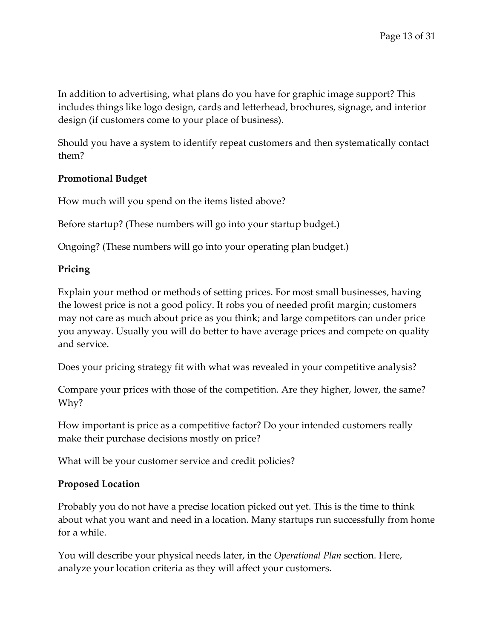In addition to advertising, what plans do you have for graphic image support? This includes things like logo design, cards and letterhead, brochures, signage, and interior design (if customers come to your place of business).

Should you have a system to identify repeat customers and then systematically contact them?

### **Promotional Budget**

How much will you spend on the items listed above?

Before startup? (These numbers will go into your startup budget.)

Ongoing? (These numbers will go into your operating plan budget.)

### **Pricing**

Explain your method or methods of setting prices. For most small businesses, having the lowest price is not a good policy. It robs you of needed profit margin; customers may not care as much about price as you think; and large competitors can under price you anyway. Usually you will do better to have average prices and compete on quality and service.

Does your pricing strategy fit with what was revealed in your competitive analysis?

Compare your prices with those of the competition. Are they higher, lower, the same? Why?

How important is price as a competitive factor? Do your intended customers really make their purchase decisions mostly on price?

What will be your customer service and credit policies?

#### **Proposed Location**

Probably you do not have a precise location picked out yet. This is the time to think about what you want and need in a location. Many startups run successfully from home for a while.

You will describe your physical needs later, in the *Operational Plan* section. Here, analyze your location criteria as they will affect your customers.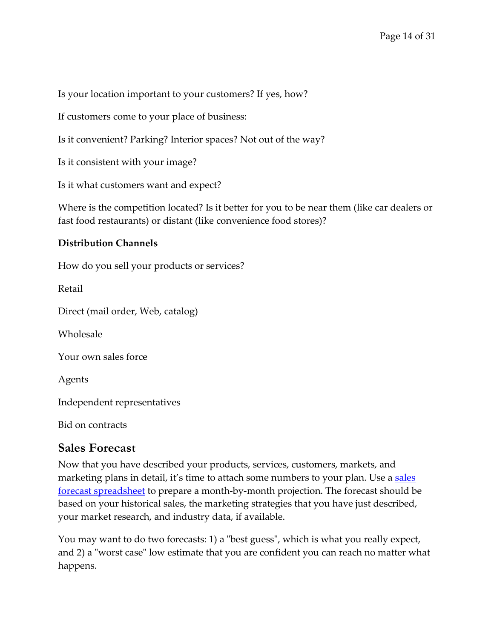Is your location important to your customers? If yes, how?

If customers come to your place of business:

Is it convenient? Parking? Interior spaces? Not out of the way?

Is it consistent with your image?

Is it what customers want and expect?

Where is the competition located? Is it better for you to be near them (like car dealers or fast food restaurants) or distant (like convenience food stores)?

#### **Distribution Channels**

How do you sell your products or services?

Retail

Direct (mail order, Web, catalog)

Wholesale

Your own sales force

Agents

Independent representatives

Bid on contracts

### **Sales Forecast**

Now that you have described your products, services, customers, markets, and marketing plans in detail, it's time to attach some numbers to your plan. Use a sales forecast spreadsheet to prepare a month‐by‐month projection. The forecast should be based on your historical sales, the marketing strategies that you have just described, your market research, and industry data, if available.

You may want to do two forecasts: 1) a "best guess", which is what you really expect, and 2) a "worst case" low estimate that you are confident you can reach no matter what happens.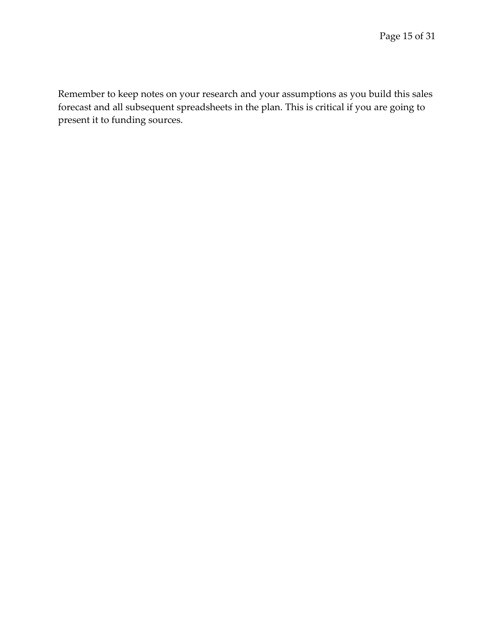Remember to keep notes on your research and your assumptions as you build this sales forecast and all subsequent spreadsheets in the plan. This is critical if you are going to present it to funding sources.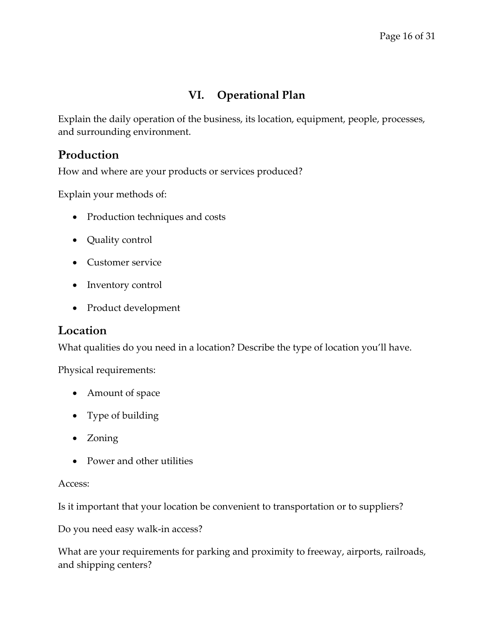## **VI. Operational Plan**

Explain the daily operation of the business, its location, equipment, people, processes, and surrounding environment.

## **Production**

How and where are your products or services produced?

Explain your methods of:

- Production techniques and costs
- Quality control
- Customer service
- Inventory control
- Product development

### **Location**

What qualities do you need in a location? Describe the type of location you'll have.

Physical requirements:

- Amount of space
- Type of building
- Zoning
- Power and other utilities

#### Access:

Is it important that your location be convenient to transportation or to suppliers?

Do you need easy walk‐in access?

What are your requirements for parking and proximity to freeway, airports, railroads, and shipping centers?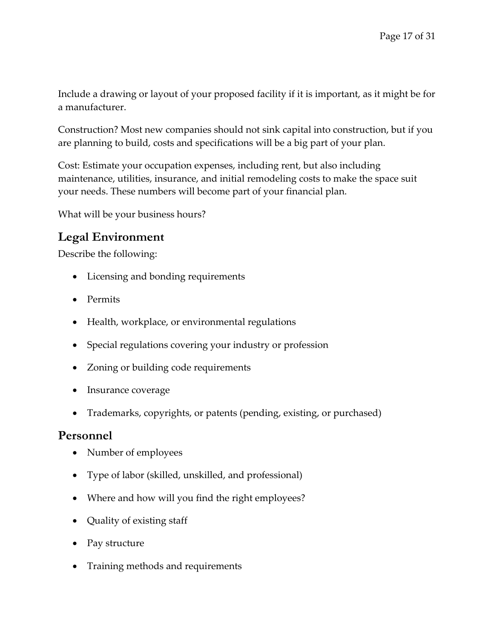Include a drawing or layout of your proposed facility if it is important, as it might be for a manufacturer.

Construction? Most new companies should not sink capital into construction, but if you are planning to build, costs and specifications will be a big part of your plan.

Cost: Estimate your occupation expenses, including rent, but also including maintenance, utilities, insurance, and initial remodeling costs to make the space suit your needs. These numbers will become part of your financial plan.

What will be your business hours?

## **Legal Environment**

Describe the following:

- Licensing and bonding requirements
- Permits
- Health, workplace, or environmental regulations
- Special regulations covering your industry or profession
- Zoning or building code requirements
- Insurance coverage
- Trademarks, copyrights, or patents (pending, existing, or purchased)

### **Personnel**

- Number of employees
- Type of labor (skilled, unskilled, and professional)
- Where and how will you find the right employees?
- Quality of existing staff
- Pay structure
- Training methods and requirements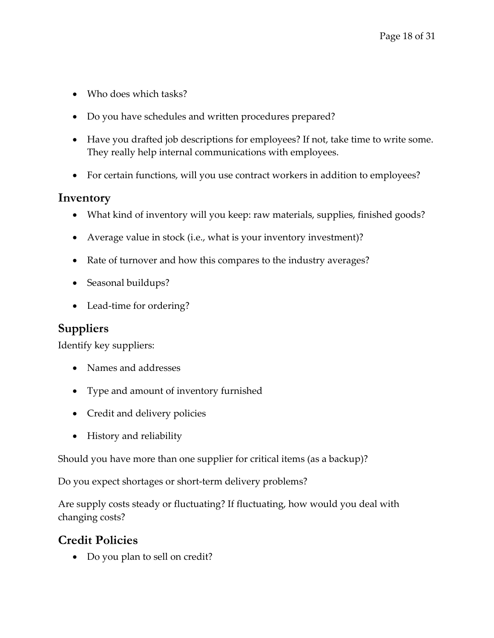- Who does which tasks?
- Do you have schedules and written procedures prepared?
- Have you drafted job descriptions for employees? If not, take time to write some. They really help internal communications with employees.
- For certain functions, will you use contract workers in addition to employees?

### **Inventory**

- What kind of inventory will you keep: raw materials, supplies, finished goods?
- Average value in stock (i.e., what is your inventory investment)?
- Rate of turnover and how this compares to the industry averages?
- Seasonal buildups?
- Lead-time for ordering?

## **Suppliers**

Identify key suppliers:

- Names and addresses
- Type and amount of inventory furnished
- Credit and delivery policies
- History and reliability

Should you have more than one supplier for critical items (as a backup)?

Do you expect shortages or short-term delivery problems?

Are supply costs steady or fluctuating? If fluctuating, how would you deal with changing costs?

## **Credit Policies**

• Do you plan to sell on credit?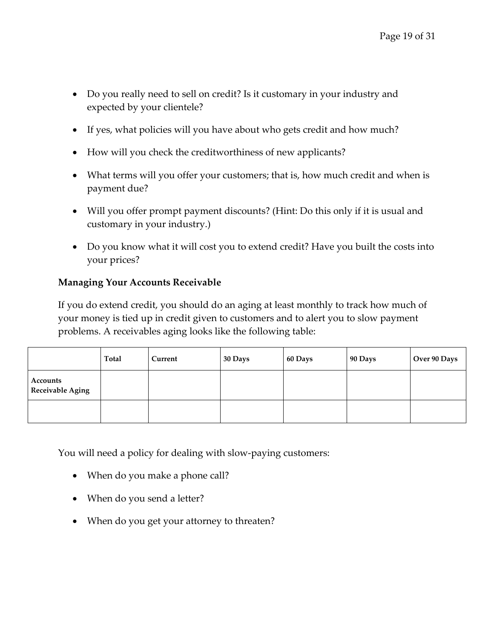- Do you really need to sell on credit? Is it customary in your industry and expected by your clientele?
- If yes, what policies will you have about who gets credit and how much?
- How will you check the creditworthiness of new applicants?
- What terms will you offer your customers; that is, how much credit and when is payment due?
- Will you offer prompt payment discounts? (Hint: Do this only if it is usual and customary in your industry.)
- Do you know what it will cost you to extend credit? Have you built the costs into your prices?

#### **Managing Your Accounts Receivable**

If you do extend credit, you should do an aging at least monthly to track how much of your money is tied up in credit given to customers and to alert you to slow payment problems. A receivables aging looks like the following table:

|                                     | Total | Current | 30 Days | <b>60 Days</b> | 90 Days | Over 90 Days |
|-------------------------------------|-------|---------|---------|----------------|---------|--------------|
| Accounts<br><b>Receivable Aging</b> |       |         |         |                |         |              |
|                                     |       |         |         |                |         |              |

You will need a policy for dealing with slow-paying customers:

- When do you make a phone call?
- When do you send a letter?
- When do you get your attorney to threaten?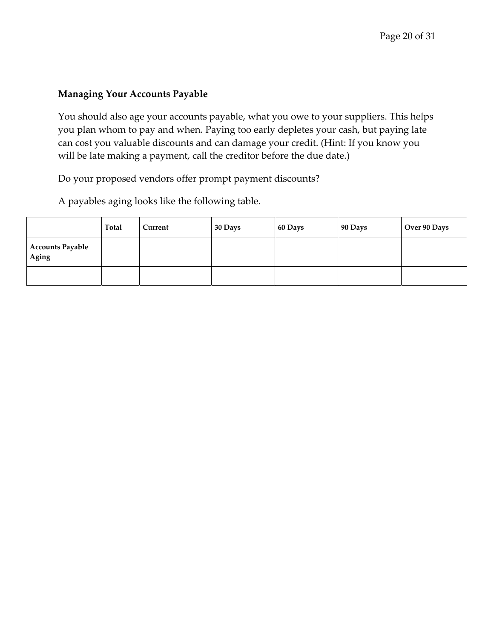#### **Managing Your Accounts Payable**

You should also age your accounts payable, what you owe to your suppliers. This helps you plan whom to pay and when. Paying too early depletes your cash, but paying late can cost you valuable discounts and can damage your credit. (Hint: If you know you will be late making a payment, call the creditor before the due date.)

Do your proposed vendors offer prompt payment discounts?

A payables aging looks like the following table.

|                                  | Total | Current | 30 Days | 60 Days | 90 Days | Over 90 Days |
|----------------------------------|-------|---------|---------|---------|---------|--------------|
| <b>Accounts Payable</b><br>Aging |       |         |         |         |         |              |
|                                  |       |         |         |         |         |              |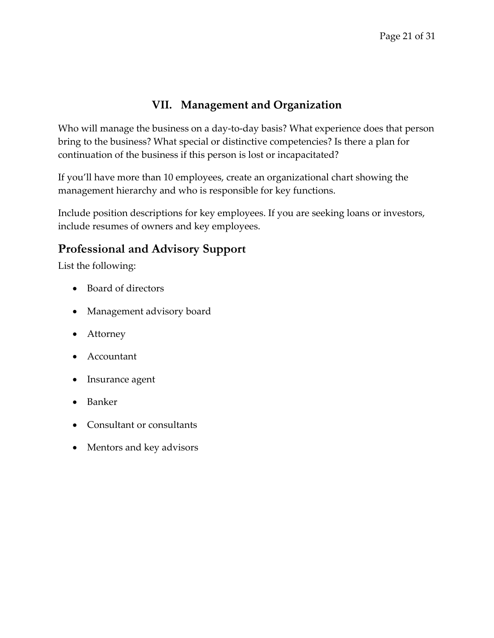## **VII. Management and Organization**

Who will manage the business on a day-to-day basis? What experience does that person bring to the business? What special or distinctive competencies? Is there a plan for continuation of the business if this person is lost or incapacitated?

If you'll have more than 10 employees, create an organizational chart showing the management hierarchy and who is responsible for key functions.

Include position descriptions for key employees. If you are seeking loans or investors, include resumes of owners and key employees.

## **Professional and Advisory Support**

List the following:

- Board of directors
- Management advisory board
- Attorney
- Accountant
- Insurance agent
- Banker
- Consultant or consultants
- Mentors and key advisors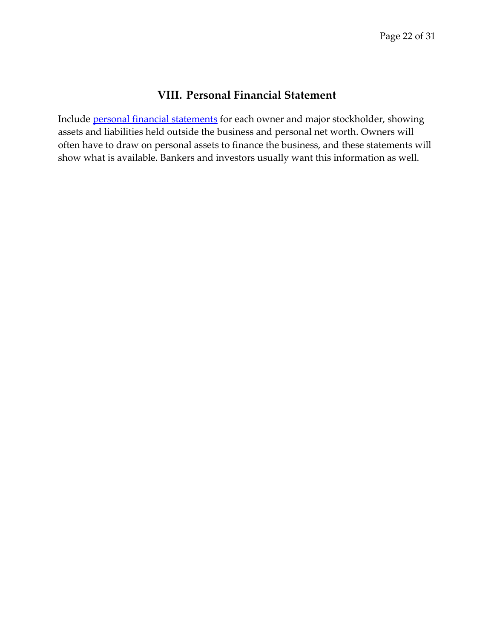## **VIII. Personal Financial Statement**

Include personal financial statements for each owner and major stockholder, showing assets and liabilities held outside the business and personal net worth. Owners will often have to draw on personal assets to finance the business, and these statements will show what is available. Bankers and investors usually want this information as well.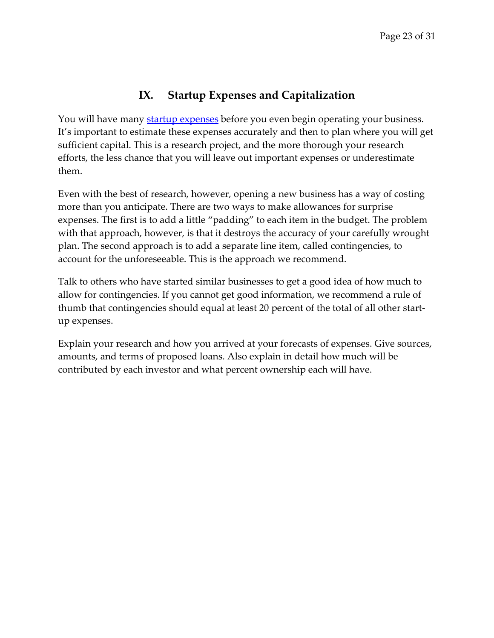## **IX. Startup Expenses and Capitalization**

You will have many **startup expenses** before you even begin operating your business. It's important to estimate these expenses accurately and then to plan where you will get sufficient capital. This is a research project, and the more thorough your research efforts, the less chance that you will leave out important expenses or underestimate them.

Even with the best of research, however, opening a new business has a way of costing more than you anticipate. There are two ways to make allowances for surprise expenses. The first is to add a little "padding" to each item in the budget. The problem with that approach, however, is that it destroys the accuracy of your carefully wrought plan. The second approach is to add a separate line item, called contingencies, to account for the unforeseeable. This is the approach we recommend.

Talk to others who have started similar businesses to get a good idea of how much to allow for contingencies. If you cannot get good information, we recommend a rule of thumb that contingencies should equal at least 20 percent of the total of all other start‐ up expenses.

Explain your research and how you arrived at your forecasts of expenses. Give sources, amounts, and terms of proposed loans. Also explain in detail how much will be contributed by each investor and what percent ownership each will have.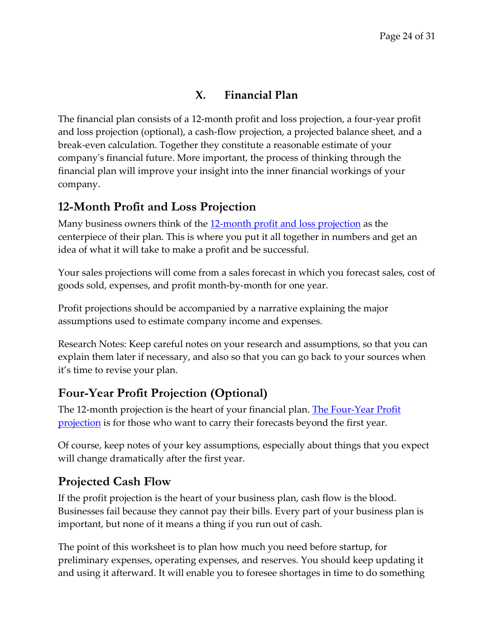## **X. Financial Plan**

The financial plan consists of a 12‐month profit and loss projection, a four‐year profit and loss projection (optional), a cash‐flow projection, a projected balance sheet, and a break‐even calculation. Together they constitute a reasonable estimate of your companyʹs financial future. More important, the process of thinking through the financial plan will improve your insight into the inner financial workings of your company.

## **12-Month Profit and Loss Projection**

Many business owners think of the 12-month profit and loss projection as the centerpiece of their plan. This is where you put it all together in numbers and get an idea of what it will take to make a profit and be successful.

Your sales projections will come from a sales forecast in which you forecast sales, cost of goods sold, expenses, and profit month‐by‐month for one year.

Profit projections should be accompanied by a narrative explaining the major assumptions used to estimate company income and expenses.

Research Notes: Keep careful notes on your research and assumptions, so that you can explain them later if necessary, and also so that you can go back to your sources when it's time to revise your plan.

## **Four-Year Profit Projection (Optional)**

The 12-month projection is the heart of your financial plan. The Four-Year Profit projection is for those who want to carry their forecasts beyond the first year.

Of course, keep notes of your key assumptions, especially about things that you expect will change dramatically after the first year.

## **Projected Cash Flow**

If the profit projection is the heart of your business plan, cash flow is the blood. Businesses fail because they cannot pay their bills. Every part of your business plan is important, but none of it means a thing if you run out of cash.

The point of this worksheet is to plan how much you need before startup, for preliminary expenses, operating expenses, and reserves. You should keep updating it and using it afterward. It will enable you to foresee shortages in time to do something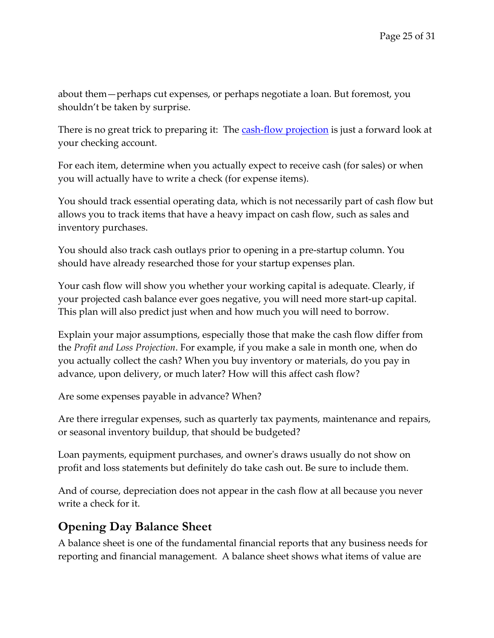about them—perhaps cut expenses, or perhaps negotiate a loan. But foremost, you shouldn't be taken by surprise.

There is no great trick to preparing it: The cash-flow projection is just a forward look at your checking account.

For each item, determine when you actually expect to receive cash (for sales) or when you will actually have to write a check (for expense items).

You should track essential operating data, which is not necessarily part of cash flow but allows you to track items that have a heavy impact on cash flow, such as sales and inventory purchases.

You should also track cash outlays prior to opening in a pre‐startup column. You should have already researched those for your startup expenses plan.

Your cash flow will show you whether your working capital is adequate. Clearly, if your projected cash balance ever goes negative, you will need more start‐up capital. This plan will also predict just when and how much you will need to borrow.

Explain your major assumptions, especially those that make the cash flow differ from the *Profit and Loss Projection*. For example, if you make a sale in month one, when do you actually collect the cash? When you buy inventory or materials, do you pay in advance, upon delivery, or much later? How will this affect cash flow?

Are some expenses payable in advance? When?

Are there irregular expenses, such as quarterly tax payments, maintenance and repairs, or seasonal inventory buildup, that should be budgeted?

Loan payments, equipment purchases, and owner's draws usually do not show on profit and loss statements but definitely do take cash out. Be sure to include them.

And of course, depreciation does not appear in the cash flow at all because you never write a check for it.

## **Opening Day Balance Sheet**

A balance sheet is one of the fundamental financial reports that any business needs for reporting and financial management. A balance sheet shows what items of value are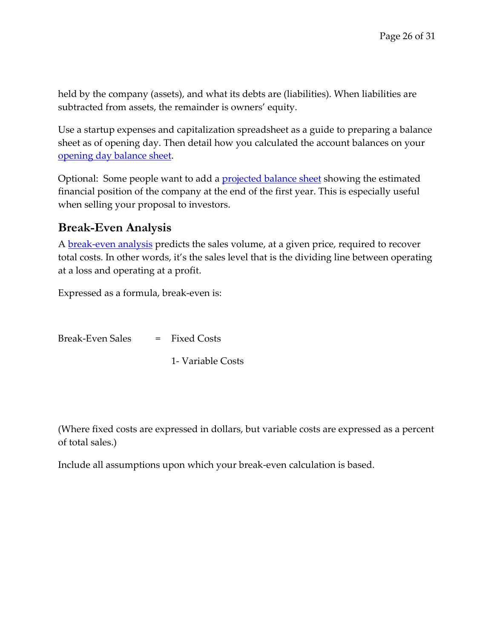held by the company (assets), and what its debts are (liabilities). When liabilities are subtracted from assets, the remainder is owners' equity.

Use a startup expenses and capitalization spreadsheet as a guide to preparing a balance sheet as of opening day. Then detail how you calculated the account balances on your opening day balance sheet.

Optional: Some people want to add a **projected balance sheet** showing the estimated financial position of the company at the end of the first year. This is especially useful when selling your proposal to investors.

## **Break-Even Analysis**

A **break-even analysis** predicts the sales volume, at a given price, required to recover total costs. In other words, it's the sales level that is the dividing line between operating at a loss and operating at a profit.

Expressed as a formula, break‐even is:

Break‐Even Sales = Fixed Costs 1‐ Variable Costs

(Where fixed costs are expressed in dollars, but variable costs are expressed as a percent of total sales.)

Include all assumptions upon which your break‐even calculation is based.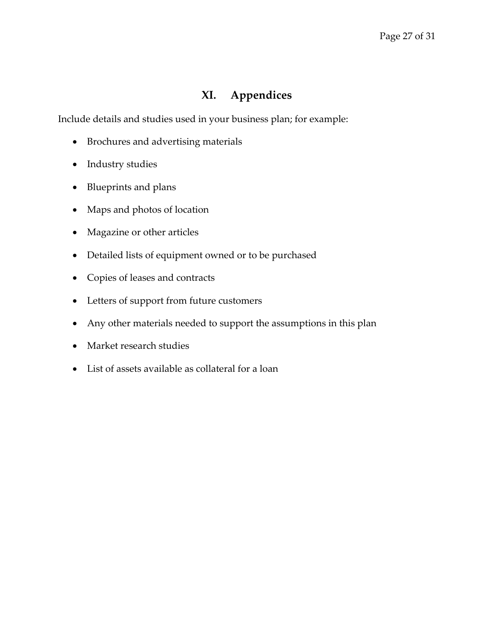## **XI. Appendices**

Include details and studies used in your business plan; for example:

- Brochures and advertising materials
- Industry studies
- Blueprints and plans
- Maps and photos of location
- Magazine or other articles
- Detailed lists of equipment owned or to be purchased
- Copies of leases and contracts
- Letters of support from future customers
- Any other materials needed to support the assumptions in this plan
- Market research studies
- List of assets available as collateral for a loan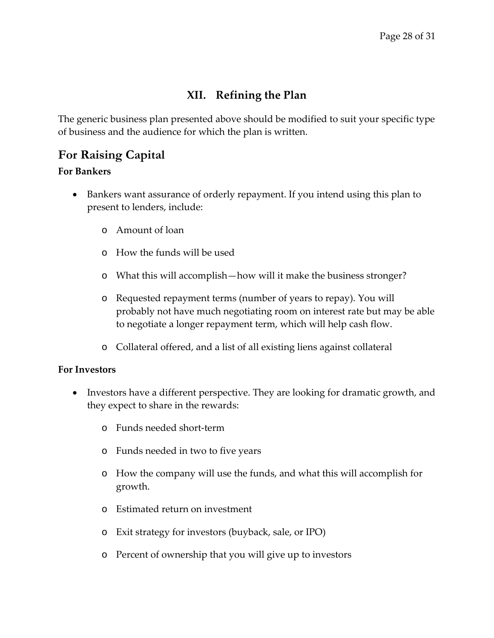## **XII. Refining the Plan**

The generic business plan presented above should be modified to suit your specific type of business and the audience for which the plan is written.

## **For Raising Capital**

#### **For Bankers**

- Bankers want assurance of orderly repayment. If you intend using this plan to present to lenders, include:
	- o Amount of loan
	- o How the funds will be used
	- o What this will accomplish—how will it make the business stronger?
	- o Requested repayment terms (number of years to repay). You will probably not have much negotiating room on interest rate but may be able to negotiate a longer repayment term, which will help cash flow.
	- o Collateral offered, and a list of all existing liens against collateral

#### **For Investors**

- Investors have a different perspective. They are looking for dramatic growth, and they expect to share in the rewards:
	- o Funds needed short‐term
	- o Funds needed in two to five years
	- o How the company will use the funds, and what this will accomplish for growth.
	- o Estimated return on investment
	- o Exit strategy for investors (buyback, sale, or IPO)
	- o Percent of ownership that you will give up to investors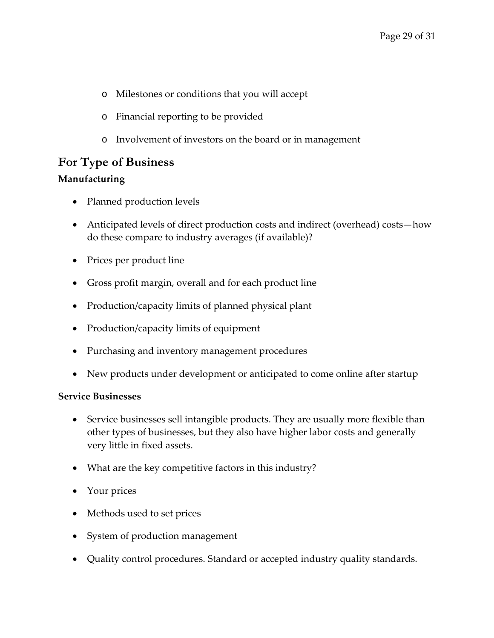- o Milestones or conditions that you will accept
- o Financial reporting to be provided
- o Involvement of investors on the board or in management

## **For Type of Business**

### **Manufacturing**

- Planned production levels
- Anticipated levels of direct production costs and indirect (overhead) costs—how do these compare to industry averages (if available)?
- Prices per product line
- Gross profit margin, overall and for each product line
- Production/capacity limits of planned physical plant
- Production/capacity limits of equipment
- Purchasing and inventory management procedures
- New products under development or anticipated to come online after startup

#### **Service Businesses**

- Service businesses sell intangible products. They are usually more flexible than other types of businesses, but they also have higher labor costs and generally very little in fixed assets.
- What are the key competitive factors in this industry?
- Your prices
- Methods used to set prices
- System of production management
- Quality control procedures. Standard or accepted industry quality standards.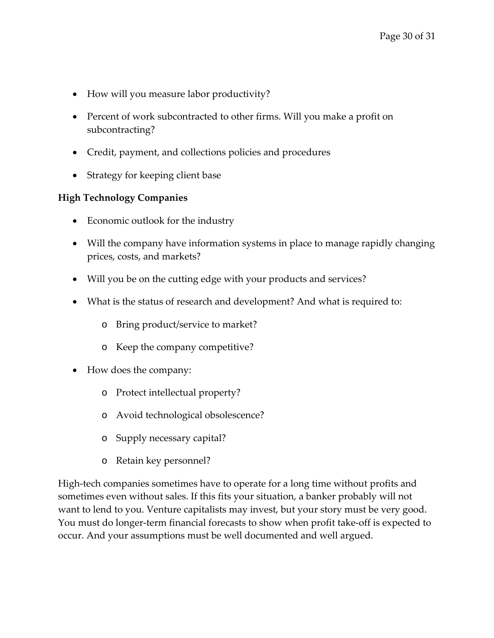- How will you measure labor productivity?
- Percent of work subcontracted to other firms. Will you make a profit on subcontracting?
- Credit, payment, and collections policies and procedures
- Strategy for keeping client base

#### **High Technology Companies**

- Economic outlook for the industry
- Will the company have information systems in place to manage rapidly changing prices, costs, and markets?
- Will you be on the cutting edge with your products and services?
- What is the status of research and development? And what is required to:
	- o Bring product/service to market?
	- o Keep the company competitive?
- How does the company:
	- o Protect intellectual property?
	- o Avoid technological obsolescence?
	- o Supply necessary capital?
	- o Retain key personnel?

High-tech companies sometimes have to operate for a long time without profits and sometimes even without sales. If this fits your situation, a banker probably will not want to lend to you. Venture capitalists may invest, but your story must be very good. You must do longer‐term financial forecasts to show when profit take‐off is expected to occur. And your assumptions must be well documented and well argued.